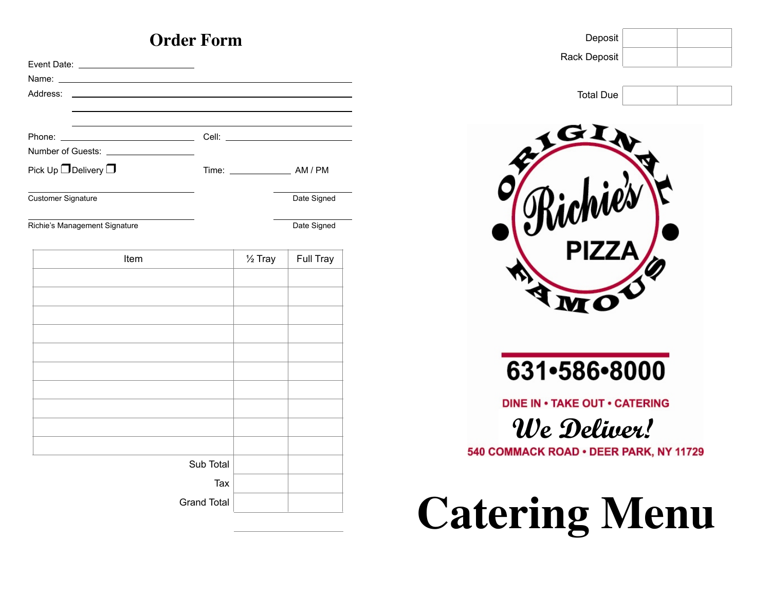# **Order Form**

| Address:                       |                    |                    |             |
|--------------------------------|--------------------|--------------------|-------------|
|                                |                    |                    |             |
|                                |                    |                    |             |
|                                |                    |                    |             |
| Pick Up $\Box$ Delivery $\Box$ |                    |                    |             |
| <b>Customer Signature</b>      |                    |                    | Date Signed |
| Richie's Management Signature  |                    |                    | Date Signed |
| Item                           |                    | $\frac{1}{2}$ Tray | Full Tray   |
|                                |                    |                    |             |
|                                |                    |                    |             |
|                                |                    |                    |             |
|                                |                    |                    |             |
|                                |                    |                    |             |
|                                |                    |                    |             |
|                                |                    |                    |             |
|                                |                    |                    |             |
|                                |                    |                    |             |
|                                |                    |                    |             |
|                                | Sub Total          |                    |             |
|                                | Tax                |                    |             |
|                                | <b>Grand Total</b> |                    |             |

| Deposit<br><b>Rack Deposit</b>                      |  |
|-----------------------------------------------------|--|
| <b>Total Due</b>                                    |  |
| 77                                                  |  |
| $\blacklozenge$                                     |  |
| 631•586•8000                                        |  |
| <b>DINE IN . TAKE OUT . CATERING</b><br>We Deliver! |  |
| 540 COMMACK ROAD . DEER PARK, NY 11729              |  |

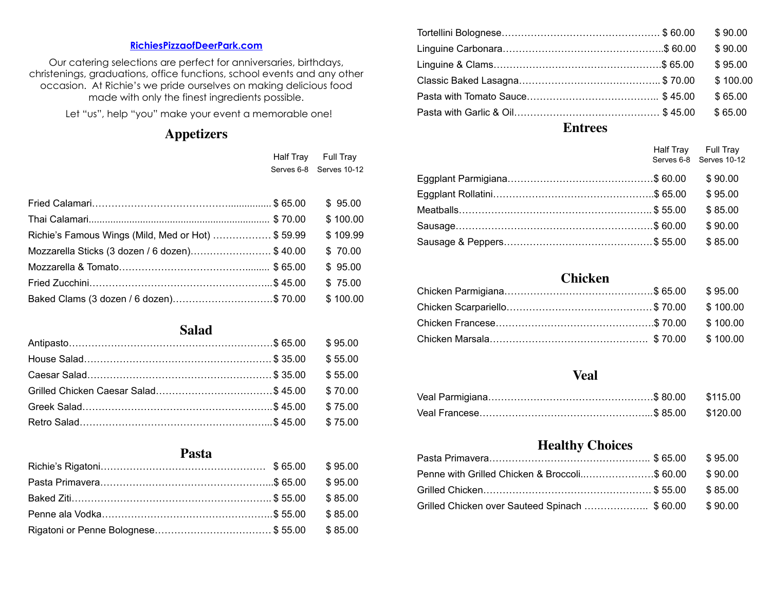#### **[RichiesPizzaofDeerPark.com](mailto:RichiesPizzeria@aol.com)**

Our catering selections are perfect for anniversaries, birthdays, christenings, graduations, office functions, school events and any other occasion. At Richie's we pride ourselves on making delicious food made with only the finest ingredients possible.

Let "us", help "you" make your event a memorable one!

# **Appetizers**

|                                                   | Half Tray Full Tray     |
|---------------------------------------------------|-------------------------|
|                                                   | Serves 6-8 Serves 10-12 |
|                                                   |                         |
|                                                   | \$95.00                 |
|                                                   | \$100.00                |
| Richie's Famous Wings (Mild, Med or Hot) \$ 59.99 | \$109.99                |
| Mozzarella Sticks (3 dozen / 6 dozen)\$ 40.00     | \$70.00                 |
|                                                   | \$95.00                 |
|                                                   | \$75.00                 |
| Baked Clams (3 dozen / 6 dozen)\$ 70.00           | \$100.00                |

**Salad** Antipasto………………………………………………………\$ 65.00 \$ 95.00 House Salad…………………………………………………. \$ 35.00 \$ 55.00 Caesar Salad…………………………………………………\$ 35.00 \$ 55.00 Grilled Chicken Caesar Salad……………………………………… \$45.00 \$70.00 Greek Salad…………………………………………………..\$ 45.00 \$ 75.00 Retro Salad…………………………………………………...\$ 45.00 \$ 75.00

# **Pasta**  Richie's Rigatoni…………………………………………… \$ 65.00 \$ 95.00 Pasta Primavera……………………………………………...\$ 65.00 \$ 95.00 Baked Ziti…………………………………………………….. \$ 55.00 \$ 85.00 Penne ala Vodka……………………………………………..\$ 55.00 \$ 85.00 Rigatoni or Penne Bolognese……………………………… \$ 55.00 \$ 85.00

|  | \$90.00  |
|--|----------|
|  | \$90.00  |
|  | \$95.00  |
|  | \$100.00 |
|  | \$65.00  |
|  | \$65.00  |
|  |          |

**Entrees**

|  | Half Tray Full Tray<br>Serves 6-8 Serves 10-12 |
|--|------------------------------------------------|
|  | \$90.00                                        |
|  | \$95.00                                        |
|  | \$85.00                                        |
|  | \$90.00                                        |
|  | \$85.00                                        |

### **Chicken**

#### **Veal**

#### **Healthy Choices**

| Penne with Grilled Chicken & Broccoli\$ 60.00 \$90.00 |  |
|-------------------------------------------------------|--|
|                                                       |  |
| Grilled Chicken over Sauteed Spinach \$ 60.00 \$90.00 |  |